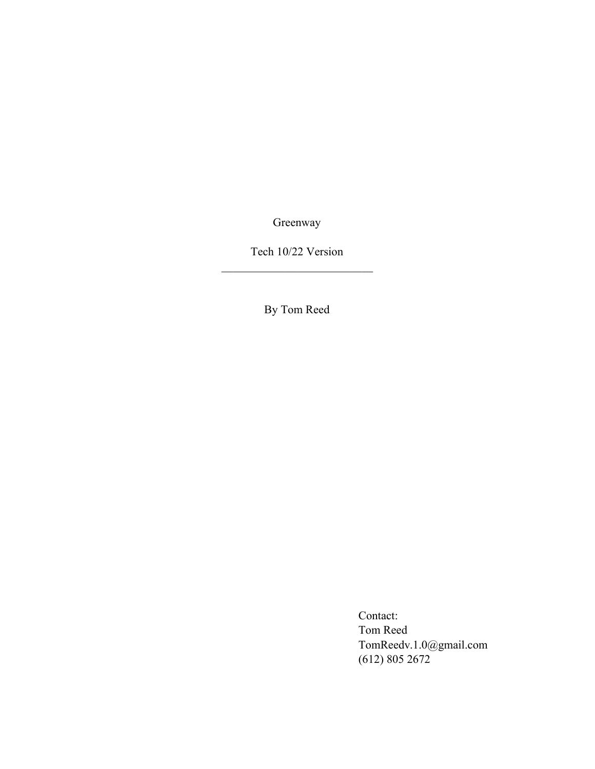Greenway

Tech 10/22 Version  $\mathcal{L}_\text{max}$  , where  $\mathcal{L}_\text{max}$  and  $\mathcal{L}_\text{max}$ 

By Tom Reed

Contact: Tom Reed TomReedv.1.0@gmail.com (612) 805 2672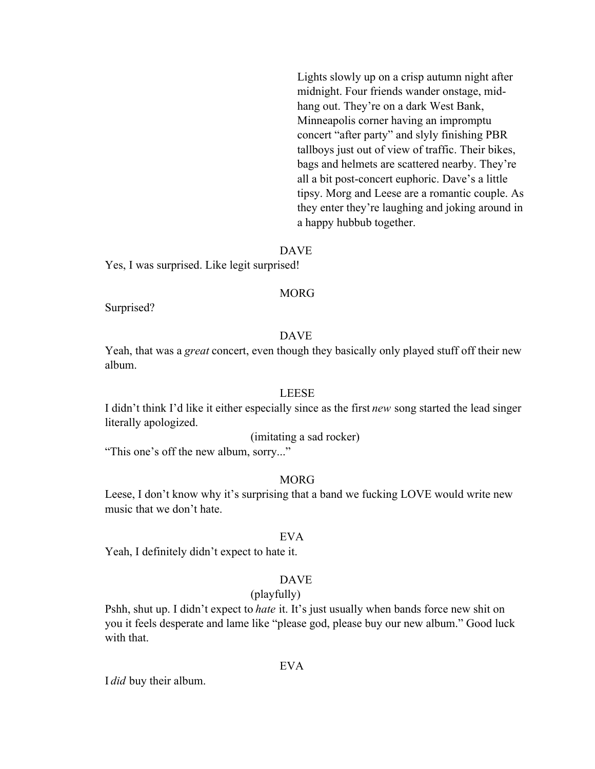Lights slowly up on a crisp autumn night after midnight. Four friends wander onstage, midhang out. They're on a dark West Bank, Minneapolis corner having an impromptu concert "after party" and slyly finishing PBR tallboys just out of view of traffic. Their bikes, bags and helmets are scattered nearby. They're all a bit post-concert euphoric. Dave's a little tipsy. Morg and Leese are a romantic couple. As they enter they're laughing and joking around in a happy hubbub together.

#### DAVE

Yes, I was surprised. Like legit surprised!

#### MORG

Surprised?

# DAVE

Yeah, that was a *great* concert, even though they basically only played stuff off their new album.

# LEESE

I didn't think I'd like it either especially since as the first *new* song started the lead singer literally apologized.

# (imitating a sad rocker)

"This one's off the new album, sorry..."

#### **MORG**

Leese, I don't know why it's surprising that a band we fucking LOVE would write new music that we don't hate.

#### EVA

Yeah, I definitely didn't expect to hate it.

# DAVE

#### (playfully)

Pshh, shut up. I didn't expect to *hate* it. It's just usually when bands force new shit on you it feels desperate and lame like "please god, please buy our new album." Good luck with that.

I *did* buy their album.

#### EVA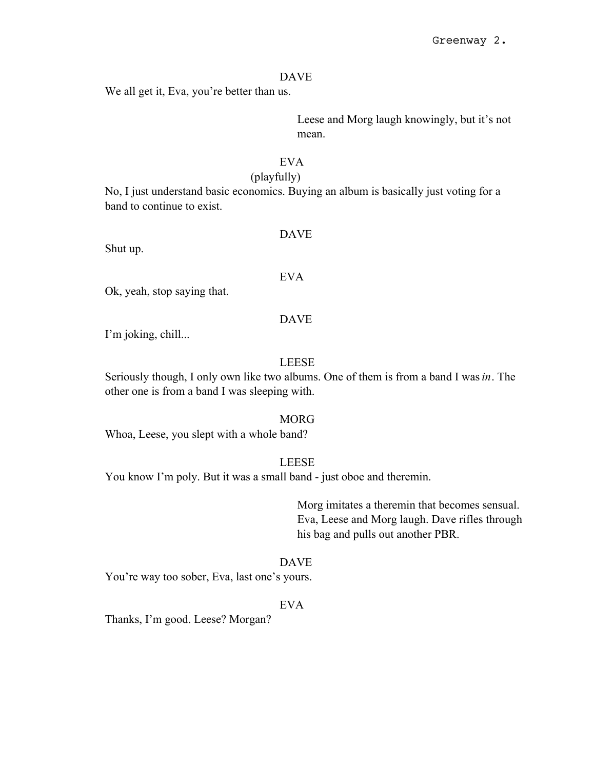We all get it, Eva, you're better than us.

Leese and Morg laugh knowingly, but it's not mean.

# **EVA**

# (playfully)

No, I just understand basic economics. Buying an album is basically just voting for a band to continue to exist.

#### DAVE

Shut up.

#### EVA

Ok, yeah, stop saying that.

#### DAVE

I'm joking, chill...

#### LEESE

Seriously though, I only own like two albums. One of them is from a band I was*in*. The other one is from a band I was sleeping with.

#### **MORG**

Whoa, Leese, you slept with a whole band?

#### LEESE

You know I'm poly. But it was a small band - just oboe and theremin.

Morg imitates a theremin that becomes sensual. Eva, Leese and Morg laugh. Dave rifles through his bag and pulls out another PBR.

# DAVE

You're way too sober, Eva, last one's yours.

# EVA

Thanks, I'm good. Leese? Morgan?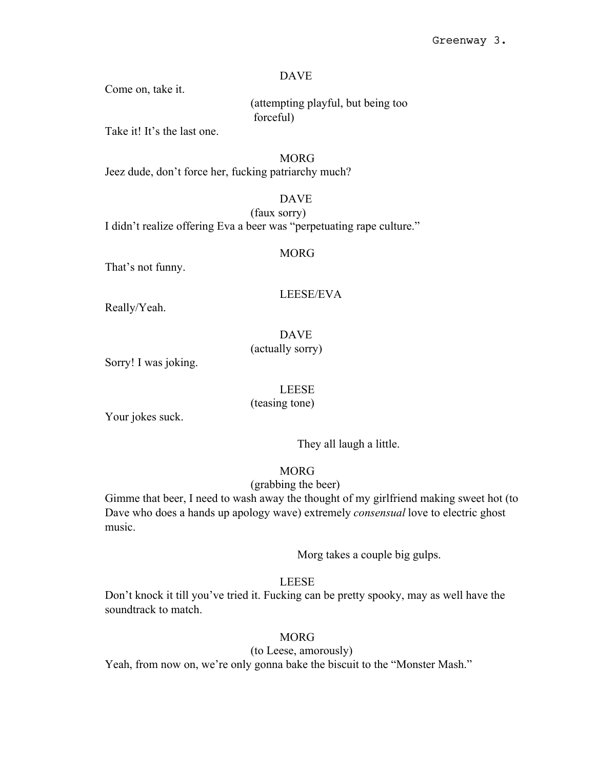Come on, take it.

(attempting playful, but being too forceful)

Take it! It's the last one.

MORG Jeez dude, don't force her, fucking patriarchy much?

# DAVE

(faux sorry) I didn't realize offering Eva a beer was "perpetuating rape culture."

# **MORG**

That's not funny.

# LEESE/EVA

Really/Yeah.

DAVE (actually sorry)

Sorry! I was joking.

LEESE

(teasing tone)

Your jokes suck.

They all laugh a little.

# **MORG**

## (grabbing the beer)

Gimme that beer, I need to wash away the thought of my girlfriend making sweet hot (to Dave who does a hands up apology wave) extremely *consensual* love to electric ghost music.

Morg takes a couple big gulps.

# LEESE

Don't knock it till you've tried it. Fucking can be pretty spooky, may as well have the soundtrack to match.

# **MORG**

(to Leese, amorously) Yeah, from now on, we're only gonna bake the biscuit to the "Monster Mash."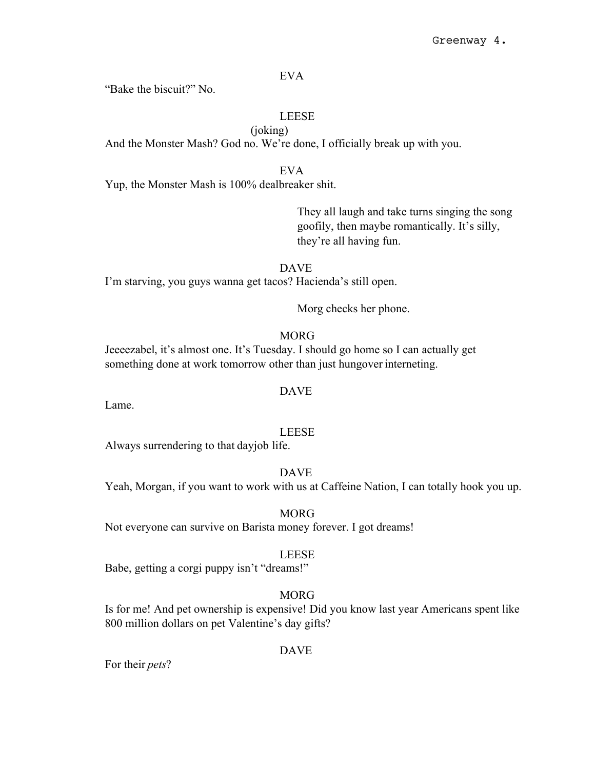# EVA

"Bake the biscuit?" No.

# LEESE

(joking)

And the Monster Mash? God no. We're done, I officially break up with you.

EVA

Yup, the Monster Mash is 100% dealbreaker shit.

They all laugh and take turns singing the song goofily, then maybe romantically. It's silly, they're all having fun.

DAVE

I'm starving, you guys wanna get tacos? Hacienda's still open.

Morg checks her phone.

# **MORG**

Jeeeezabel, it's almost one. It's Tuesday. I should go home so I can actually get something done at work tomorrow other than just hungover interneting.

# DAVE

Lame.

# LEESE

Always surrendering to that dayjob life.

# DAVE

Yeah, Morgan, if you want to work with us at Caffeine Nation, I can totally hook you up.

MORG

Not everyone can survive on Barista money forever. I got dreams!

#### LEESE

Babe, getting a corgi puppy isn't "dreams!"

# MORG

Is for me! And pet ownership is expensive! Did you know last year Americans spent like 800 million dollars on pet Valentine's day gifts?

DAVE

For their *pets*?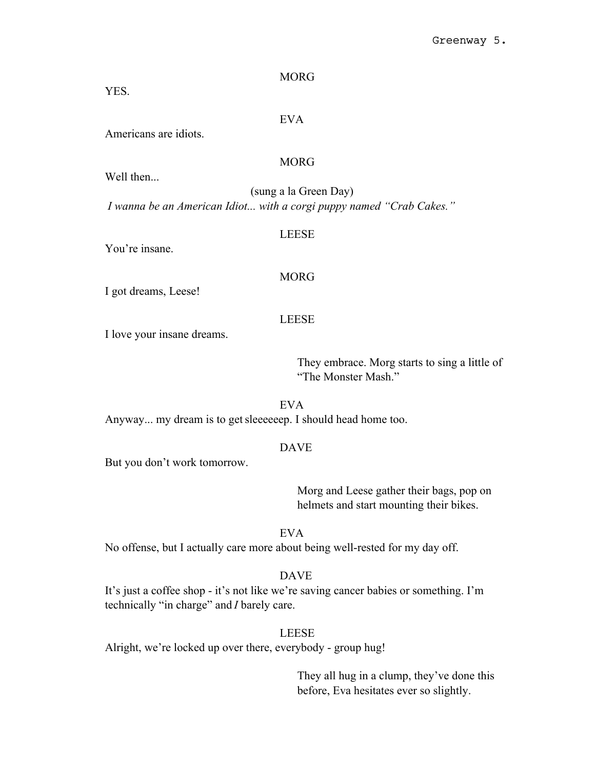#### Greenway 5.

| YES.                  | <b>MORG</b>                                                                                  |  |
|-----------------------|----------------------------------------------------------------------------------------------|--|
| Americans are idiots. | <b>EVA</b>                                                                                   |  |
|                       | <b>MORG</b>                                                                                  |  |
| Well then             | (sung a la Green Day)<br>I wanna be an American Idiot with a corgi puppy named "Crab Cakes." |  |
| You're insane.        | <b>LEESE</b>                                                                                 |  |
| I got dreams, Leese!  | <b>MORG</b>                                                                                  |  |

#### LEESE

I love your insane dreams.

They embrace. Morg starts to sing a little of "The Monster Mash."

EVA

Anyway... my dream is to getsleeeeeep. I should head home too.

#### DAVE

But you don't work tomorrow.

Morg and Leese gather their bags, pop on helmets and start mounting their bikes.

# EVA

No offense, but I actually care more about being well-rested for my day off.

# DAVE

It's just a coffee shop - it's not like we're saving cancer babies or something. I'm technically "in charge" and *I* barely care.

#### LEESE

Alright, we're locked up over there, everybody - group hug!

They all hug in a clump, they've done this before, Eva hesitates ever so slightly.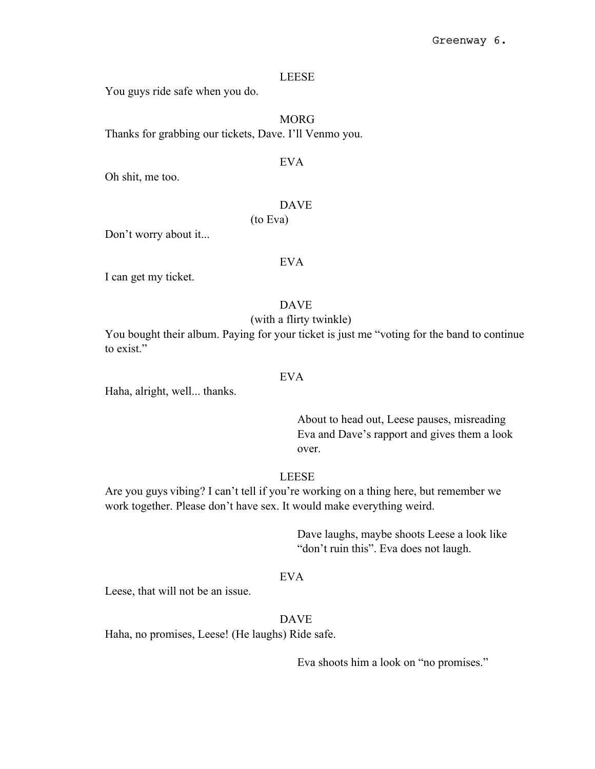#### Greenway 6.

#### LEESE

You guys ride safe when you do.

**MORG** Thanks for grabbing our tickets, Dave. I'll Venmo you.

# EVA

Oh shit, me too.

# DAVE

(to Eva)

Don't worry about it...

# EVA

I can get my ticket.

# DAVE

# (with a flirty twinkle)

You bought their album. Paying for your ticket is just me "voting for the band to continue to exist."

#### EVA

Haha, alright, well... thanks.

About to head out, Leese pauses, misreading Eva and Dave's rapport and gives them a look over.

#### LEESE

Are you guys vibing? I can't tell if you're working on a thing here, but remember we work together. Please don't have sex. It would make everything weird.

> Dave laughs, maybe shoots Leese a look like "don't ruin this". Eva does not laugh.

# EVA

Leese, that will not be an issue.

# DAVE

Haha, no promises, Leese! (He laughs) Ride safe.

Eva shoots him a look on "no promises."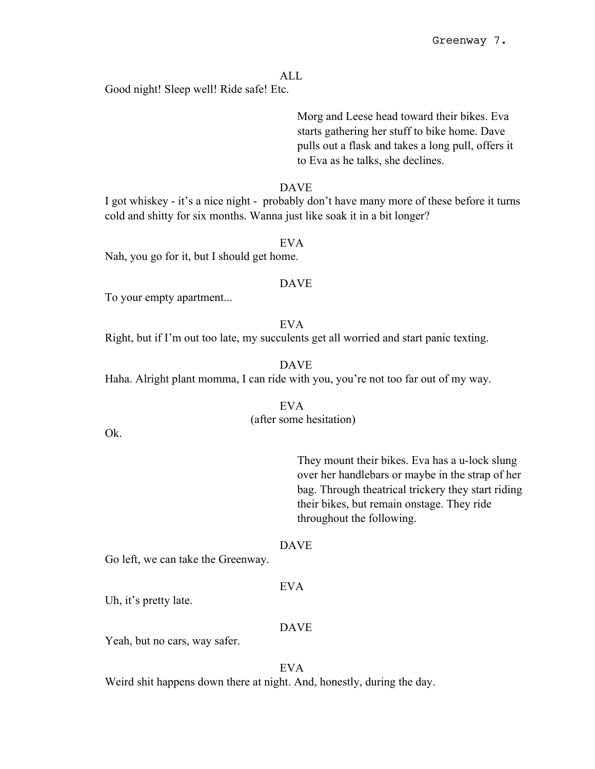# ALL

Good night! Sleep well! Ride safe! Etc.

Morg and Leese head toward their bikes. Eva starts gathering her stuff to bike home. Dave pulls out a flask and takes a long pull, offers it to Eva as he talks, she declines.

#### DAVE

I got whiskey - it's a nice night - probably don't have many more of these before it turns cold and shitty for six months. Wanna just like soak it in a bit longer?

EVA

Nah, you go for it, but I should get home.

#### DAVE

To your empty apartment...

EVA

Right, but if I'm out too late, my succulents get all worried and start panic texting.

DAVE Haha. Alright plant momma, I can ride with you, you're not too far out of my way.

> EVA (after some hesitation)

Ok.

They mount their bikes. Eva has a u-lock slung over her handlebars or maybe in the strap of her bag. Through theatrical trickery they start riding their bikes, but remain onstage. They ride throughout the following.

#### DAVE

Go left, we can take the Greenway.

#### EVA

Uh, it's pretty late.

# DAVE

Yeah, but no cars, way safer.

EVA Weird shit happens down there at night. And, honestly, during the day.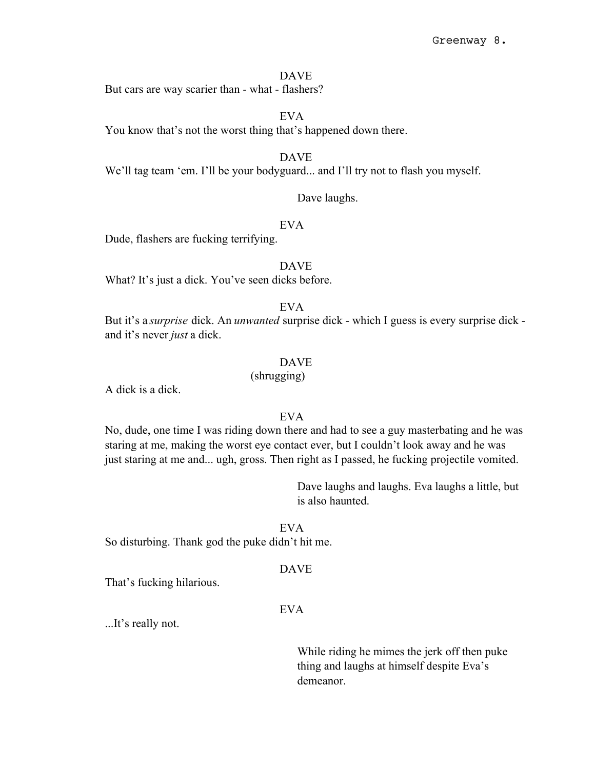But cars are way scarier than - what - flashers?

EVA

You know that's not the worst thing that's happened down there.

DAVE

We'll tag team 'em. I'll be your bodyguard... and I'll try not to flash you myself.

#### Dave laughs.

#### EVA

Dude, flashers are fucking terrifying.

DAVE

What? It's just a dick. You've seen dicks before.

# EVA

But it's a *surprise* dick. An *unwanted* surprise dick - which I guess is every surprise dick and it's never *just* a dick.

#### DAVE

(shrugging)

A dick is a dick.

# EVA

No, dude, one time I was riding down there and had to see a guy masterbating and he was staring at me, making the worst eye contact ever, but I couldn't look away and he was just staring at me and... ugh, gross. Then right as I passed, he fucking projectile vomited.

> Dave laughs and laughs. Eva laughs a little, but is also haunted.

# EVA

So disturbing. Thank god the puke didn't hit me.

#### DAVE

That's fucking hilarious.

# EVA

...It's really not.

While riding he mimes the jerk off then puke thing and laughs at himself despite Eva's demeanor.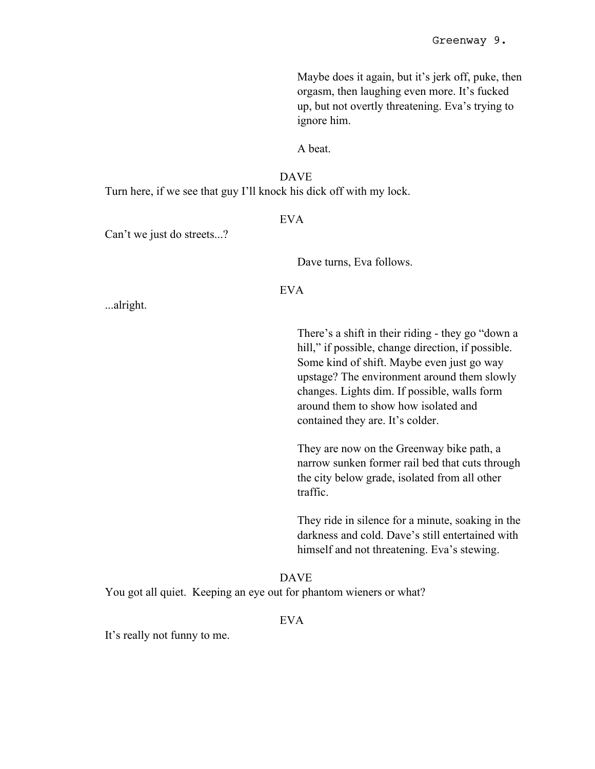Maybe does it again, but it's jerk off, puke, then orgasm, then laughing even more. It's fucked up, but not overtly threatening. Eva's trying to ignore him.

A beat.

# DAVE

Turn here, if we see that guy I'll knock his dick off with my lock.

# EVA

Can't we just do streets...?

Dave turns, Eva follows.

# EVA

...alright.

There's a shift in their riding - they go "down a hill," if possible, change direction, if possible. Some kind of shift. Maybe even just go way upstage? The environment around them slowly changes. Lights dim. If possible, walls form around them to show how isolated and contained they are. It's colder.

They are now on the Greenway bike path, a narrow sunken former rail bed that cuts through the city below grade, isolated from all other traffic.

They ride in silence for a minute, soaking in the darkness and cold. Dave's still entertained with himself and not threatening. Eva's stewing.

# DAVE

You got all quiet. Keeping an eye out for phantom wieners or what?

# EVA

It's really not funny to me.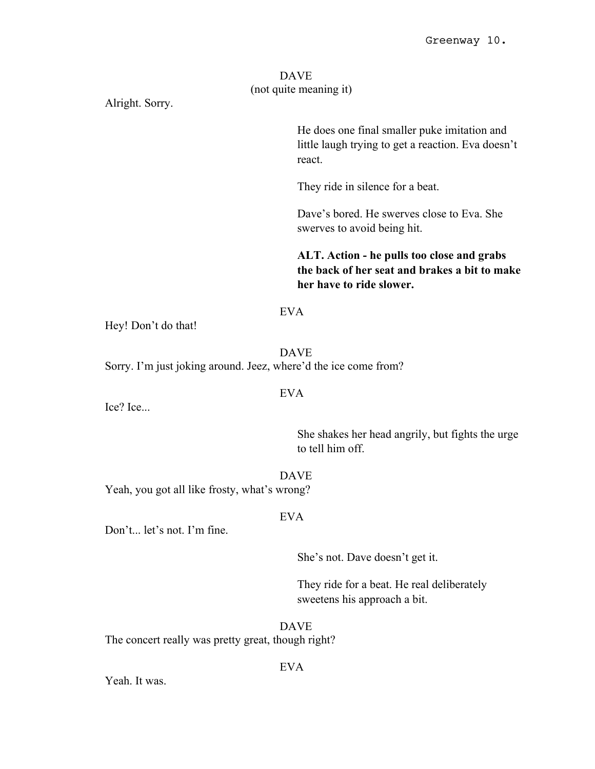# DAVE (not quite meaning it)

Alright. Sorry.

He does one final smaller puke imitation and little laugh trying to get a reaction. Eva doesn't react.

They ride in silence for a beat.

Dave's bored. He swerves close to Eva. She swerves to avoid being hit.

**ALT. Action - he pulls too close and grabs the back of her seat and brakes a bit to make her have to ride slower.**

# EVA

Hey! Don't do that!

DAVE Sorry. I'm just joking around. Jeez, where'd the ice come from?

EVA

Ice? Ice...

She shakes her head angrily, but fights the urge to tell him off.

DAVE Yeah, you got all like frosty, what's wrong?

# EVA

Don't... let's not. I'm fine.

She's not. Dave doesn't get it.

They ride for a beat. He real deliberately sweetens his approach a bit.

DAVE

The concert really was pretty great, though right?

## EVA

Yeah. It was.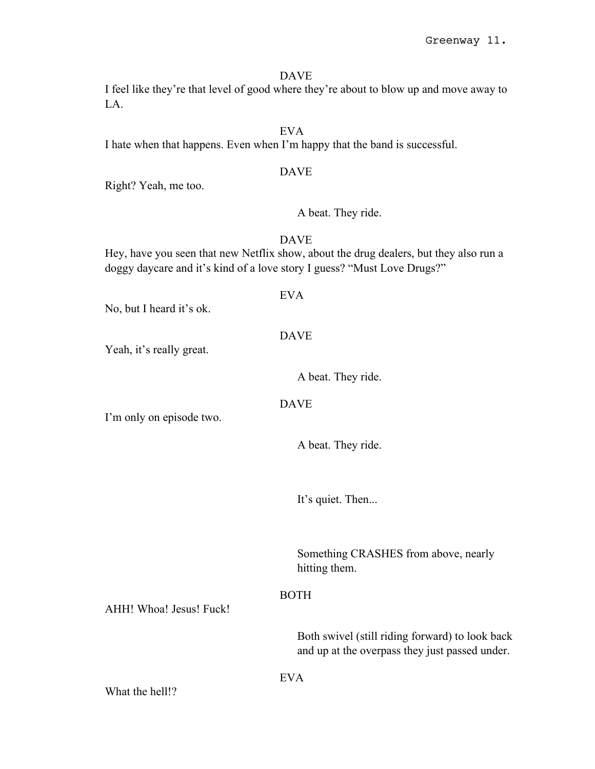I feel like they're that level of good where they're about to blow up and move away to LA.

EVA I hate when that happens. Even when I'm happy that the band is successful.

# DAVE

Right? Yeah, me too.

#### A beat. They ride.

DAVE

EVA

DAVE

Hey, have you seen that new Netflix show, about the drug dealers, but they also run a doggy daycare and it's kind of a love story I guess? "Must Love Drugs?"

No, but I heard it's ok.

Yeah, it's really great.

A beat. They ride.

# DAVE

I'm only on episode two.

A beat. They ride.

It's quiet. Then...

Something CRASHES from above, nearly hitting them.

# BOTH

AHH! Whoa! Jesus! Fuck!

Both swivel (still riding forward) to look back and up at the overpass they just passed under.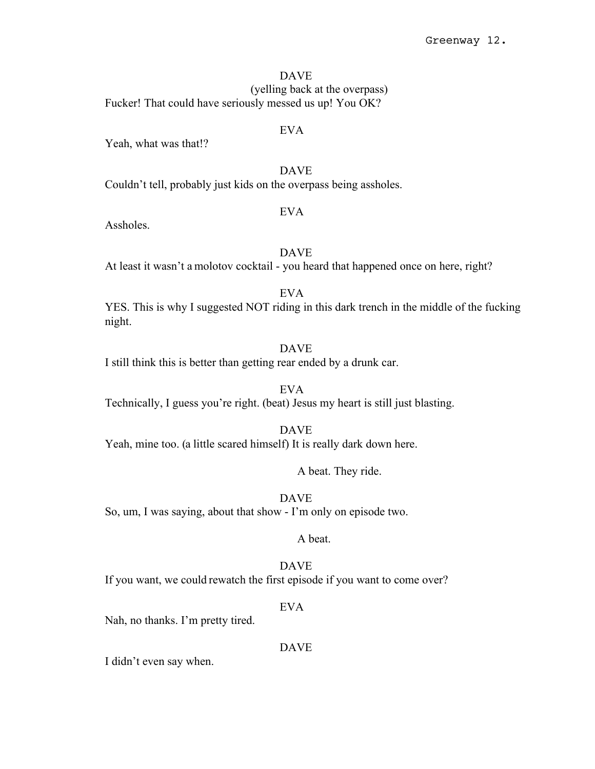(yelling back at the overpass)

# Fucker! That could have seriously messed us up! You OK?

# EVA

Yeah, what was that!?

# DAVE

Couldn't tell, probably just kids on the overpass being assholes.

# EVA

Assholes.

# DAVE

At least it wasn't a molotov cocktail - you heard that happened once on here, right?

# EVA

YES. This is why I suggested NOT riding in this dark trench in the middle of the fucking night.

# DAVE

I still think this is better than getting rear ended by a drunk car.

EVA Technically, I guess you're right. (beat) Jesus my heart is still just blasting.

# DAVE

Yeah, mine too. (a little scared himself) It is really dark down here.

A beat. They ride.

# DAVE

So, um, I was saying, about that show - I'm only on episode two.

# A beat.

## DAVE

If you want, we could rewatch the first episode if you want to come over?

# EVA

Nah, no thanks. I'm pretty tired.

# DAVE

I didn't even say when.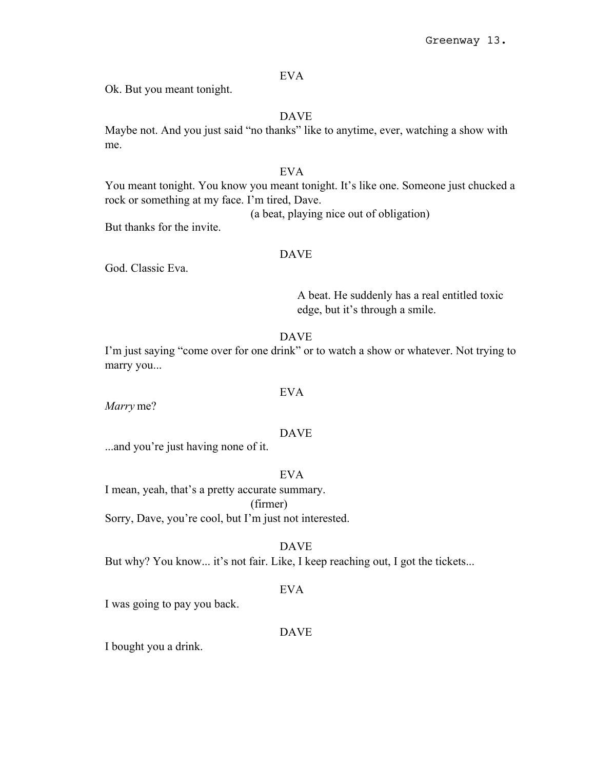# EVA

Ok. But you meant tonight.

# DAVE

Maybe not. And you just said "no thanks" like to anytime, ever, watching a show with me.

# EVA

You meant tonight. You know you meant tonight. It's like one. Someone just chucked a rock or something at my face. I'm tired, Dave.

(a beat, playing nice out of obligation)

But thanks for the invite.

## DAVE

God. Classic Eva.

A beat. He suddenly has a real entitled toxic edge, but it's through a smile.

# DAVE

I'm just saying "come over for one drink" or to watch a show or whatever. Not trying to marry you...

# *Marry* me?

# DAVE

EVA

...and you're just having none of it.

# EVA

I mean, yeah, that's a pretty accurate summary. (firmer) Sorry, Dave, you're cool, but I'm just not interested.

# DAVE

But why? You know... it's not fair. Like, I keep reaching out, I got the tickets...

# EVA

I was going to pay you back.

# DAVE

I bought you a drink.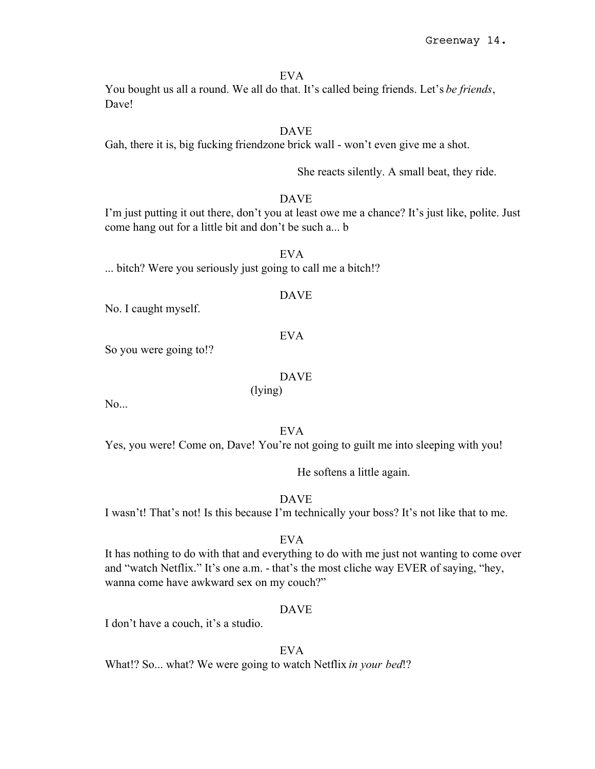EVA

You bought us all a round. We all do that. It's called being friends. Let's *be friends*, Dave!

# DAVE

Gah, there it is, big fucking friendzone brick wall - won't even give me a shot.

She reacts silently. A small beat, they ride.

# DAVE

I'm just putting it out there, don't you at least owe me a chance? It's just like, polite. Just come hang out for a little bit and don't be such a... b

EVA ... bitch? Were you seriously just going to call me a bitch!?

#### DAVE

No. I caught myself.

So you were going to!?

#### DAVE

EVA

(lying)

No...

EVA

Yes, you were! Come on, Dave! You're not going to guilt me into sleeping with you!

He softens a little again.

DAVE

I wasn't! That's not! Is this because I'm technically your boss? It's not like that to me.

# EVA

It has nothing to do with that and everything to do with me just not wanting to come over and "watch Netflix." It's one a.m. - that's the most cliche way EVER of saying, "hey, wanna come have awkward sex on my couch?"

# DAVE

I don't have a couch, it's a studio.

EVA

What!? So... what? We were going to watch Netflix *in your bed*!?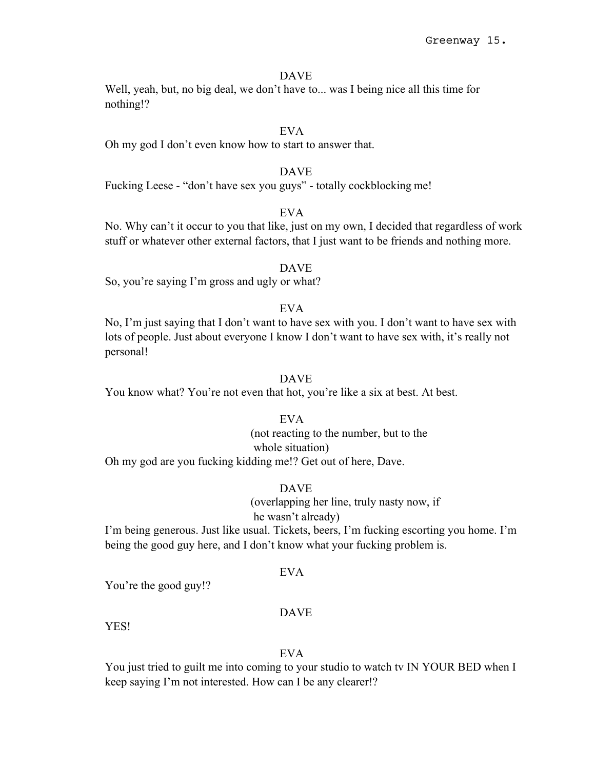Well, yeah, but, no big deal, we don't have to... was I being nice all this time for nothing!?

# EVA

Oh my god I don't even know how to start to answer that.

# DAVE

Fucking Leese - "don't have sex you guys" - totally cockblocking me!

# EVA

No. Why can't it occur to you that like, just on my own, I decided that regardless of work stuff or whatever other external factors, that I just want to be friends and nothing more.

# DAVE

So, you're saying I'm gross and ugly or what?

# EVA

No, I'm just saying that I don't want to have sex with you. I don't want to have sex with lots of people. Just about everyone I know I don't want to have sex with, it's really not personal!

## DAVE

You know what? You're not even that hot, you're like a six at best. At best.

# EVA

(not reacting to the number, but to the whole situation) Oh my god are you fucking kidding me!? Get out of here, Dave.

## DAVE

(overlapping her line, truly nasty now, if he wasn't already)

I'm being generous. Just like usual. Tickets, beers, I'm fucking escorting you home. I'm being the good guy here, and I don't know what your fucking problem is.

#### EVA

You're the good guy!?

## DAVE

YES!

# EVA

You just tried to guilt me into coming to your studio to watch tv IN YOUR BED when I keep saying I'm not interested. How can I be any clearer!?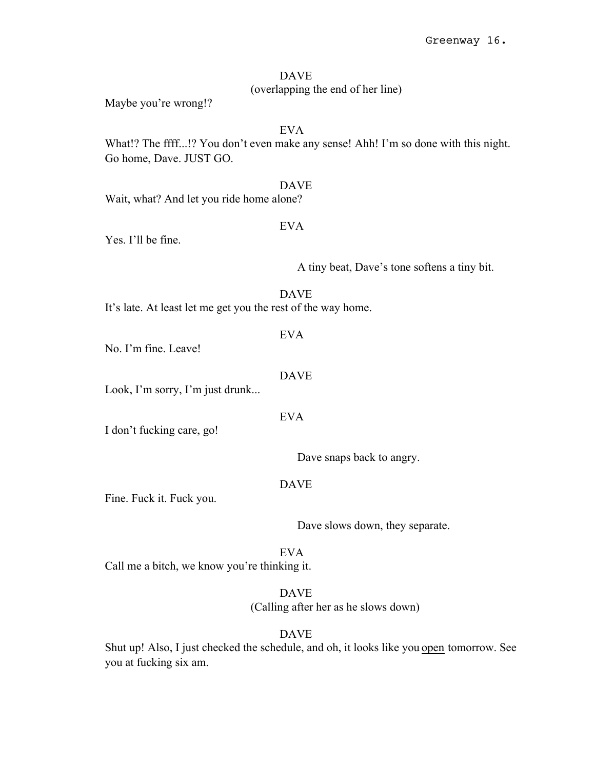(overlapping the end of her line)

Maybe you're wrong!?

# EVA

What!? The ffff...!? You don't even make any sense! Ahh! I'm so done with this night. Go home, Dave. JUST GO.

#### DAVE

Wait, what? And let you ride home alone?

# EVA

Yes. I'll be fine.

# A tiny beat, Dave's tone softens a tiny bit.

#### DAVE

It's late. At least let me get you the rest of the way home.

# EVA

No. I'm fine. Leave!

#### DAVE

Look, I'm sorry, I'm just drunk...

# EVA

I don't fucking care, go!

Dave snaps back to angry.

#### DAVE

Fine. Fuck it. Fuck you.

Dave slows down, they separate.

# EVA

Call me a bitch, we know you're thinking it.

# DAVE

(Calling after her as he slows down)

## DAVE

Shut up! Also, I just checked the schedule, and oh, it looks like you open tomorrow. See you at fucking six am.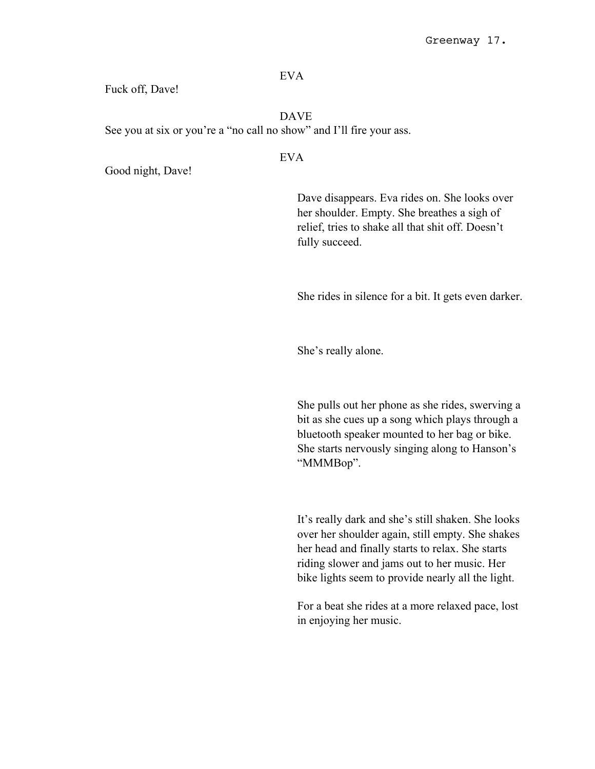# EVA

Fuck off, Dave!

DAVE

See you at six or you're a "no call no show" and I'll fire your ass.

# EVA

Good night, Dave!

Dave disappears. Eva rides on. She looks over her shoulder. Empty. She breathes a sigh of relief, tries to shake all that shit off. Doesn't fully succeed.

She rides in silence for a bit. It gets even darker.

She's really alone.

She pulls out her phone as she rides, swerving a bit as she cues up a song which plays through a bluetooth speaker mounted to her bag or bike. She starts nervously singing along to Hanson's "MMMBop".

It's really dark and she's still shaken. She looks over her shoulder again, still empty. She shakes her head and finally starts to relax. She starts riding slower and jams out to her music. Her bike lights seem to provide nearly all the light.

For a beat she rides at a more relaxed pace, lost in enjoying her music.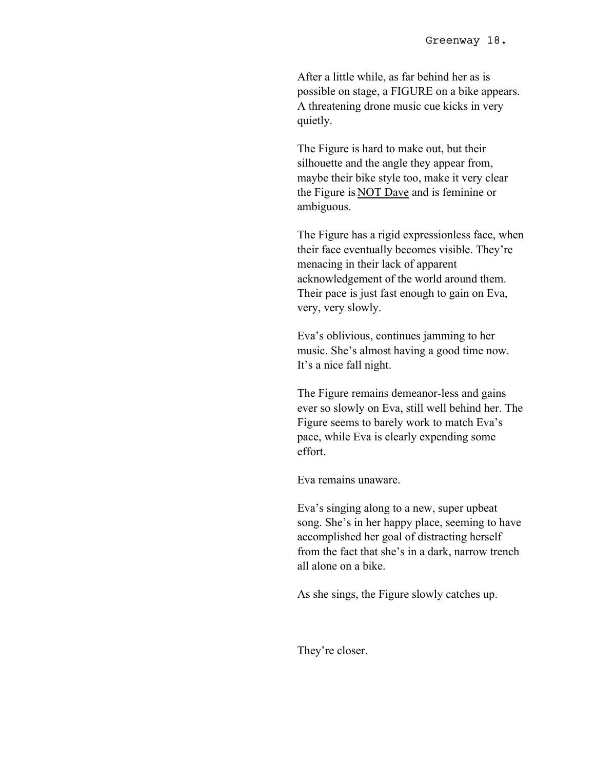After a little while, as far behind her as is possible on stage, a FIGURE on a bike appears. A threatening drone music cue kicks in very quietly.

The Figure is hard to make out, but their silhouette and the angle they appear from, maybe their bike style too, make it very clear the Figure is NOT Dave and is feminine or ambiguous.

The Figure has a rigid expressionless face, when their face eventually becomes visible. They're menacing in their lack of apparent acknowledgement of the world around them. Their pace is just fast enough to gain on Eva, very, very slowly.

Eva's oblivious, continues jamming to her music. She's almost having a good time now. It's a nice fall night.

The Figure remains demeanor-less and gains ever so slowly on Eva, still well behind her. The Figure seems to barely work to match Eva's pace, while Eva is clearly expending some effort.

Eva remains unaware.

Eva's singing along to a new, super upbeat song. She's in her happy place, seeming to have accomplished her goal of distracting herself from the fact that she's in a dark, narrow trench all alone on a bike.

As she sings, the Figure slowly catches up.

They're closer.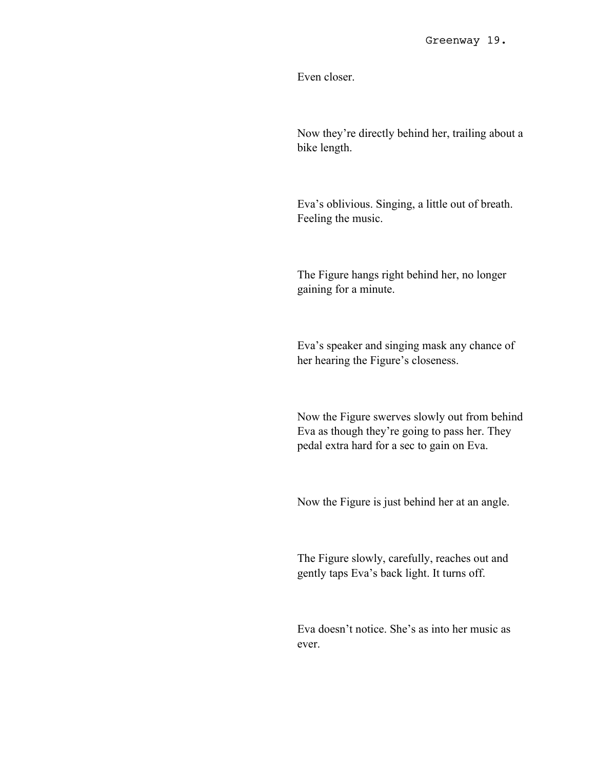Even closer.

Now they're directly behind her, trailing about a bike length.

Eva's oblivious. Singing, a little out of breath. Feeling the music.

The Figure hangs right behind her, no longer gaining for a minute.

Eva's speaker and singing mask any chance of her hearing the Figure's closeness.

Now the Figure swerves slowly out from behind Eva as though they're going to pass her. They pedal extra hard for a sec to gain on Eva.

Now the Figure is just behind her at an angle.

The Figure slowly, carefully, reaches out and gently taps Eva's back light. It turns off.

Eva doesn't notice. She's as into her music as ever.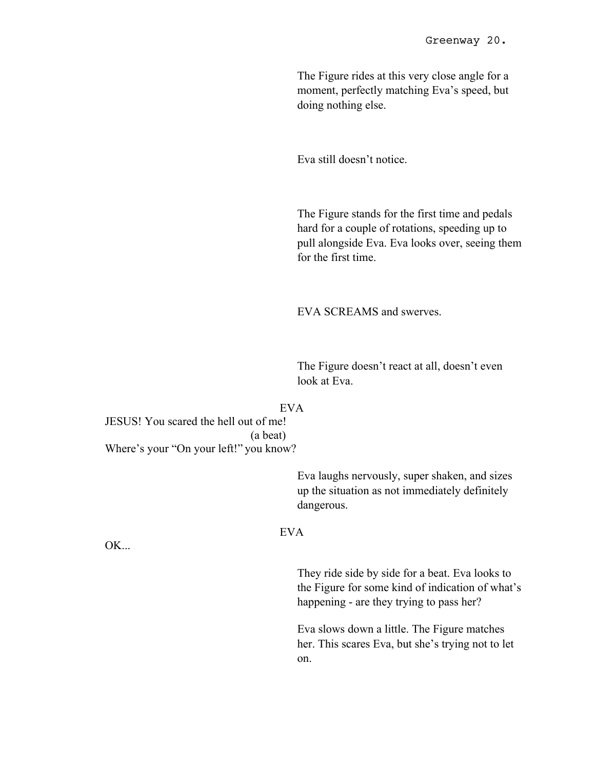The Figure rides at this very close angle for a moment, perfectly matching Eva's speed, but doing nothing else.

Eva still doesn't notice.

The Figure stands for the first time and pedals hard for a couple of rotations, speeding up to pull alongside Eva. Eva looks over, seeing them for the first time.

EVA SCREAMS and swerves.

The Figure doesn't react at all, doesn't even look at Eva.

EVA

JESUS! You scared the hell out of me! (a beat) Where's your "On your left!" you know?

> Eva laughs nervously, super shaken, and sizes up the situation as not immediately definitely dangerous.

## EVA

OK...

They ride side by side for a beat. Eva looks to the Figure for some kind of indication of what's happening - are they trying to pass her?

Eva slows down a little. The Figure matches her. This scares Eva, but she's trying not to let on.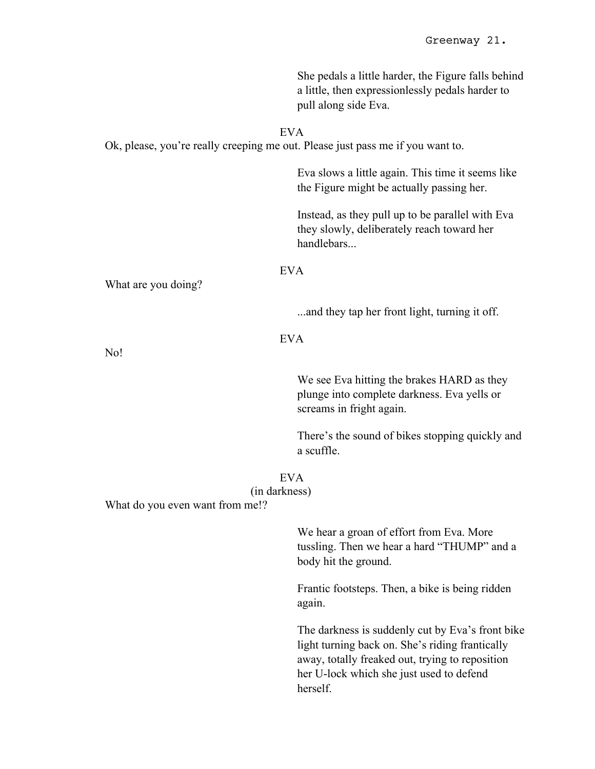She pedals a little harder, the Figure falls behind a little, then expressionlessly pedals harder to pull along side Eva.

#### EVA

Ok, please, you're really creeping me out. Please just pass me if you want to.

Eva slows a little again. This time it seems like the Figure might be actually passing her.

Instead, as they pull up to be parallel with Eva they slowly, deliberately reach toward her handlebars

# EVA

What are you doing?

...and they tap her front light, turning it off.

EVA

No!

We see Eva hitting the brakes HARD as they plunge into complete darkness. Eva yells or screams in fright again.

There's the sound of bikes stopping quickly and a scuffle.

# EVA

(in darkness)

What do you even want from me!?

We hear a groan of effort from Eva. More tussling. Then we hear a hard "THUMP" and a body hit the ground.

Frantic footsteps. Then, a bike is being ridden again.

The darkness is suddenly cut by Eva's front bike light turning back on. She's riding frantically away, totally freaked out, trying to reposition her U-lock which she just used to defend herself.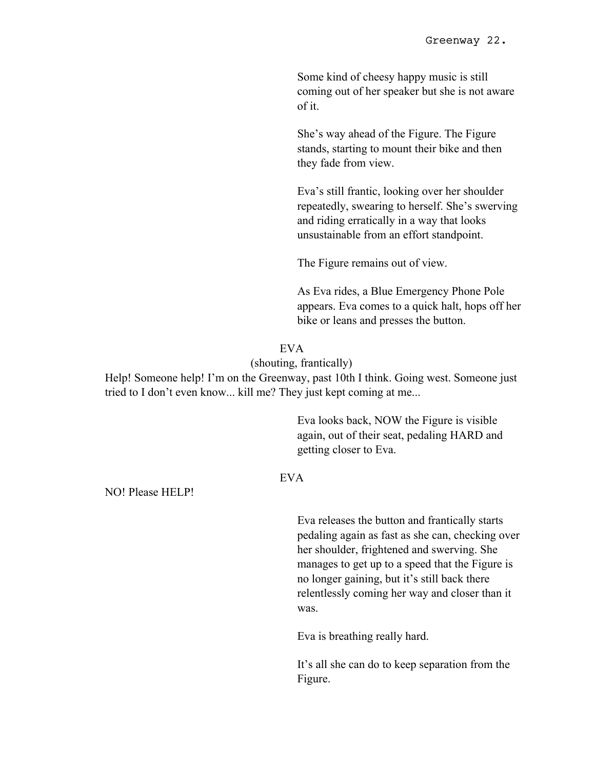Some kind of cheesy happy music is still coming out of her speaker but she is not aware of it.

She's way ahead of the Figure. The Figure stands, starting to mount their bike and then they fade from view.

Eva's still frantic, looking over her shoulder repeatedly, swearing to herself. She's swerving and riding erratically in a way that looks unsustainable from an effort standpoint.

The Figure remains out of view.

As Eva rides, a Blue Emergency Phone Pole appears. Eva comes to a quick halt, hops off her bike or leans and presses the button.

# EVA

# (shouting, frantically)

Help! Someone help! I'm on the Greenway, past 10th I think. Going west. Someone just tried to I don't even know... kill me? They just kept coming at me...

> Eva looks back, NOW the Figure is visible again, out of their seat, pedaling HARD and getting closer to Eva.

# EVA

NO! Please HELP!

Eva releases the button and frantically starts pedaling again as fast as she can, checking over her shoulder, frightened and swerving. She manages to get up to a speed that the Figure is no longer gaining, but it's still back there relentlessly coming her way and closer than it was.

Eva is breathing really hard.

It's all she can do to keep separation from the Figure.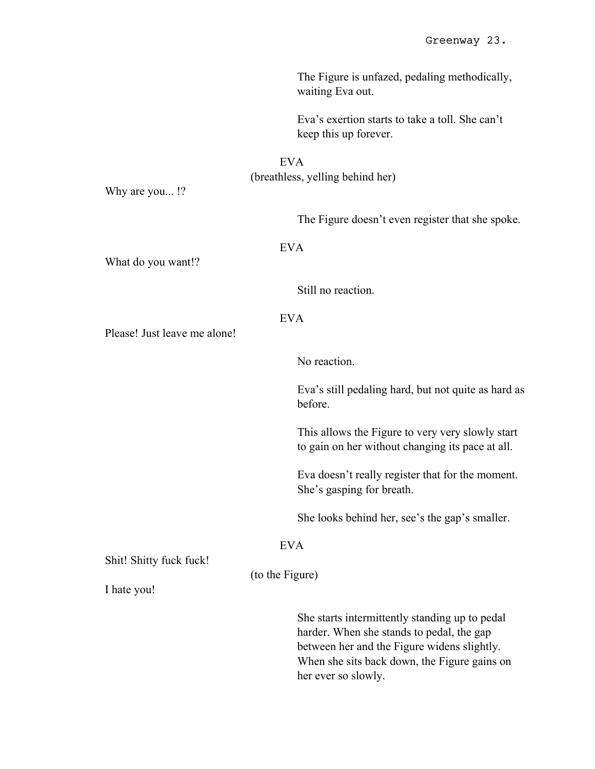|                              | The Figure is unfazed, pedaling methodically,<br>waiting Eva out.                                                                         |
|------------------------------|-------------------------------------------------------------------------------------------------------------------------------------------|
|                              | Eva's exertion starts to take a toll. She can't<br>keep this up forever.                                                                  |
|                              | <b>EVA</b>                                                                                                                                |
| Why are you!?                | (breathless, yelling behind her)                                                                                                          |
|                              | The Figure doesn't even register that she spoke.                                                                                          |
| What do you want!?           | <b>EVA</b>                                                                                                                                |
|                              | Still no reaction.                                                                                                                        |
| Please! Just leave me alone! | <b>EVA</b>                                                                                                                                |
|                              | No reaction.                                                                                                                              |
|                              | Eva's still pedaling hard, but not quite as hard as<br>before.                                                                            |
|                              | This allows the Figure to very very slowly start<br>to gain on her without changing its pace at all.                                      |
|                              | Eva doesn't really register that for the moment.<br>She's gasping for breath.                                                             |
|                              | She looks behind her, see's the gap's smaller.                                                                                            |
|                              | <b>EVA</b>                                                                                                                                |
| Shit! Shitty fuck fuck!      | (to the Figure)                                                                                                                           |
| I hate you!                  |                                                                                                                                           |
|                              | She starts intermittently standing up to pedal<br>harder. When she stands to pedal, the gap<br>between her and the Figure widens slightly |

between her and the Figure widens slightly. When she sits back down, the Figure gains on her ever so slowly.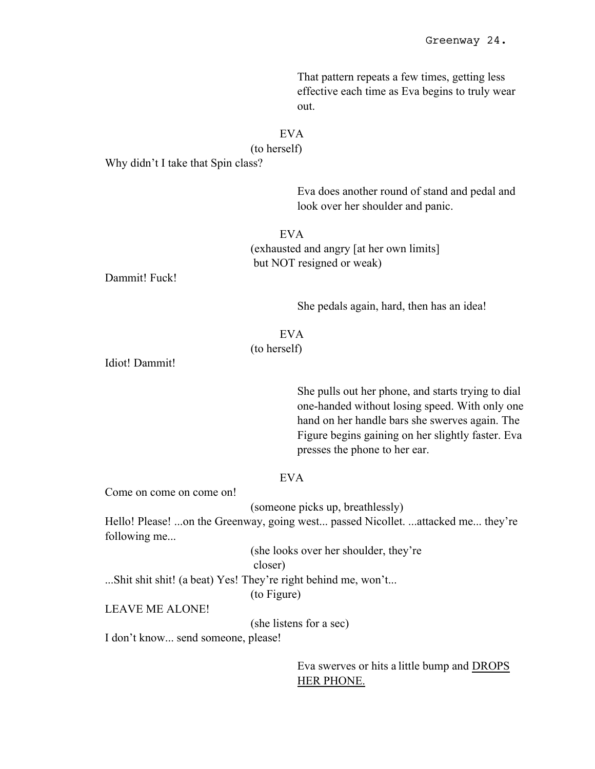That pattern repeats a few times, getting less effective each time as Eva begins to truly wear out.

# EVA

(to herself)

Why didn't I take that Spin class?

Eva does another round of stand and pedal and look over her shoulder and panic.

EVA (exhausted and angry [at her own limits] but NOT resigned or weak)

Dammit! Fuck!

She pedals again, hard, then has an idea!

# EVA

(to herself)

Idiot! Dammit!

She pulls out her phone, and starts trying to dial one-handed without losing speed. With only one hand on her handle bars she swerves again. The Figure begins gaining on her slightly faster. Eva presses the phone to her ear.

## EVA

Come on come on come on!

(someone picks up, breathlessly)

Hello! Please! ...on the Greenway, going west... passed Nicollet. ...attacked me... they're following me...

(she looks over her shoulder, they're

closer)

...Shit shit shit! (a beat) Yes! They're right behind me, won't...

(to Figure)

LEAVE ME ALONE!

(she listens for a sec)

I don't know... send someone, please!

Eva swerves or hits a little bump and DROPS HER PHONE.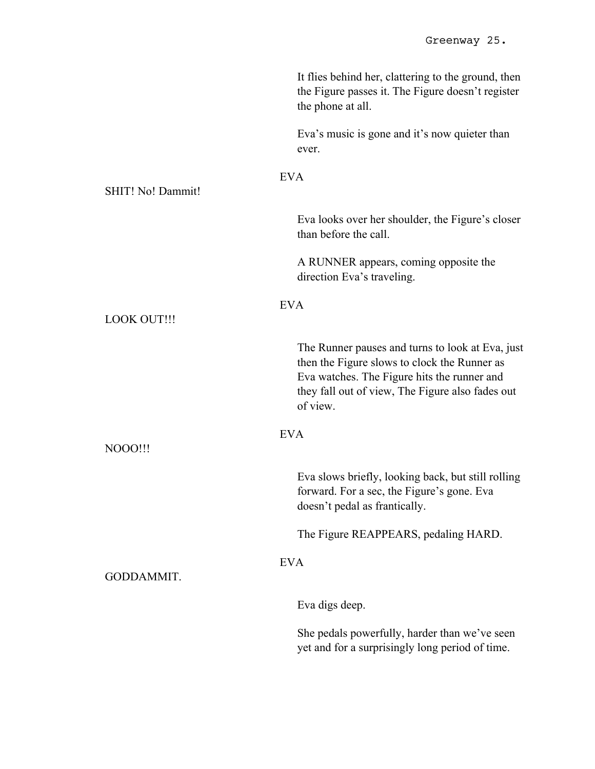|                    | It flies behind her, clattering to the ground, then<br>the Figure passes it. The Figure doesn't register<br>the phone at all.                                                                                   |
|--------------------|-----------------------------------------------------------------------------------------------------------------------------------------------------------------------------------------------------------------|
|                    | Eva's music is gone and it's now quieter than<br>ever.                                                                                                                                                          |
| SHIT! No! Dammit!  | <b>EVA</b>                                                                                                                                                                                                      |
|                    | Eva looks over her shoulder, the Figure's closer<br>than before the call.                                                                                                                                       |
|                    | A RUNNER appears, coming opposite the<br>direction Eva's traveling.                                                                                                                                             |
| <b>LOOK OUT!!!</b> | <b>EVA</b>                                                                                                                                                                                                      |
|                    | The Runner pauses and turns to look at Eva, just<br>then the Figure slows to clock the Runner as<br>Eva watches. The Figure hits the runner and<br>they fall out of view, The Figure also fades out<br>of view. |
| NOO0!!!            | <b>EVA</b>                                                                                                                                                                                                      |
|                    | Eva slows briefly, looking back, but still rolling<br>forward. For a sec, the Figure's gone. Eva<br>doesn't pedal as frantically.                                                                               |
|                    | The Figure REAPPEARS, pedaling HARD.                                                                                                                                                                            |
| GODDAMMIT.         | <b>EVA</b>                                                                                                                                                                                                      |
|                    | Eva digs deep.                                                                                                                                                                                                  |
|                    | She pedals powerfully, harder than we've seen<br>yet and for a surprisingly long period of time.                                                                                                                |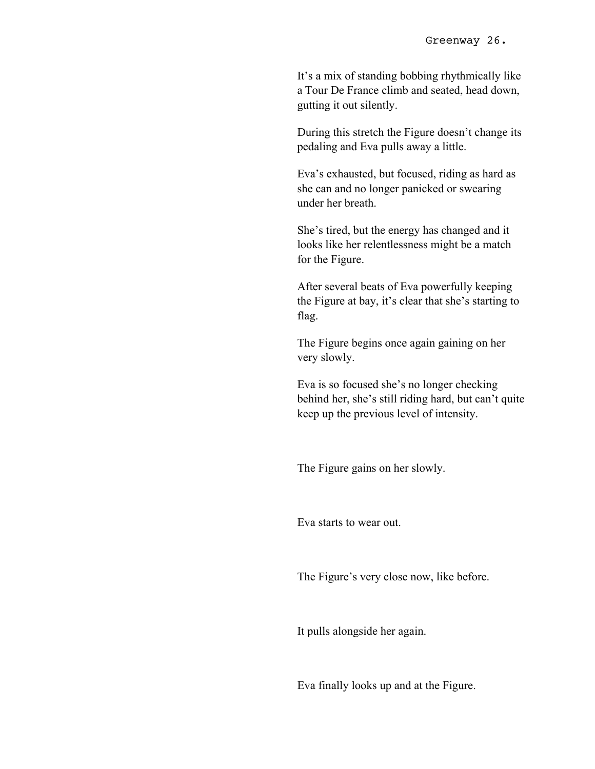It's a mix of standing bobbing rhythmically like a Tour De France climb and seated, head down, gutting it out silently.

During this stretch the Figure doesn't change its pedaling and Eva pulls away a little.

Eva's exhausted, but focused, riding as hard as she can and no longer panicked or swearing under her breath.

She's tired, but the energy has changed and it looks like her relentlessness might be a match for the Figure.

After several beats of Eva powerfully keeping the Figure at bay, it's clear that she's starting to flag.

The Figure begins once again gaining on her very slowly.

Eva is so focused she's no longer checking behind her, she's still riding hard, but can't quite keep up the previous level of intensity.

The Figure gains on her slowly.

Eva starts to wear out.

The Figure's very close now, like before.

It pulls alongside her again.

Eva finally looks up and at the Figure.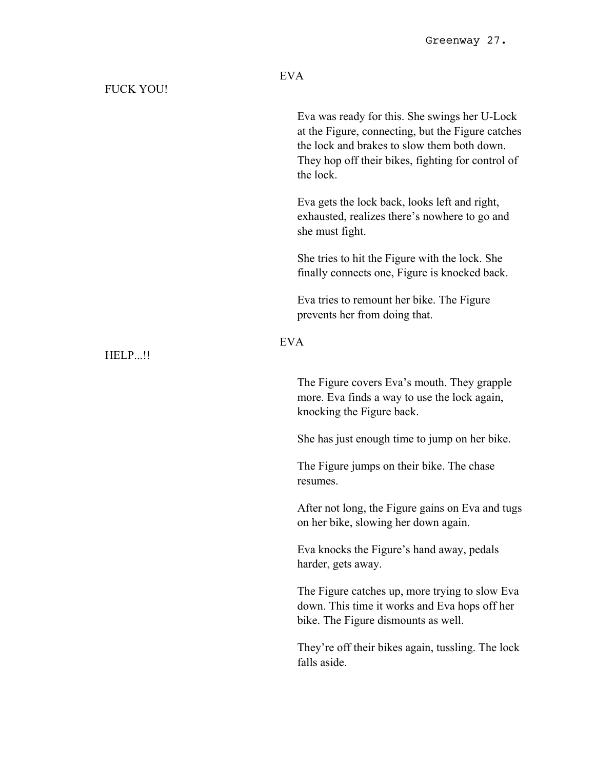|                  | <b>EVA</b>                                                                                                                                                                                                          |
|------------------|---------------------------------------------------------------------------------------------------------------------------------------------------------------------------------------------------------------------|
| <b>FUCK YOU!</b> |                                                                                                                                                                                                                     |
|                  | Eva was ready for this. She swings her U-Lock<br>at the Figure, connecting, but the Figure catches<br>the lock and brakes to slow them both down.<br>They hop off their bikes, fighting for control of<br>the lock. |
|                  | Eva gets the lock back, looks left and right,<br>exhausted, realizes there's nowhere to go and<br>she must fight.                                                                                                   |
|                  | She tries to hit the Figure with the lock. She<br>finally connects one, Figure is knocked back.                                                                                                                     |
|                  | Eva tries to remount her bike. The Figure<br>prevents her from doing that.                                                                                                                                          |
|                  | <b>EVA</b>                                                                                                                                                                                                          |
| HELP!!           |                                                                                                                                                                                                                     |
|                  | The Figure covers Eva's mouth. They grapple<br>more. Eva finds a way to use the lock again,<br>knocking the Figure back.                                                                                            |
|                  | She has just enough time to jump on her bike.                                                                                                                                                                       |
|                  | The Figure jumps on their bike. The chase<br>resumes.                                                                                                                                                               |
|                  | After not long, the Figure gains on Eva and tugs<br>on her bike, slowing her down again.                                                                                                                            |
|                  | Eva knocks the Figure's hand away, pedals<br>harder, gets away.                                                                                                                                                     |
|                  | The Figure catches up, more trying to slow Eva<br>down. This time it works and Eva hops off her<br>bike. The Figure dismounts as well.                                                                              |
|                  | They're off their bikes again, tussling. The lock<br>falls aside.                                                                                                                                                   |

# EVA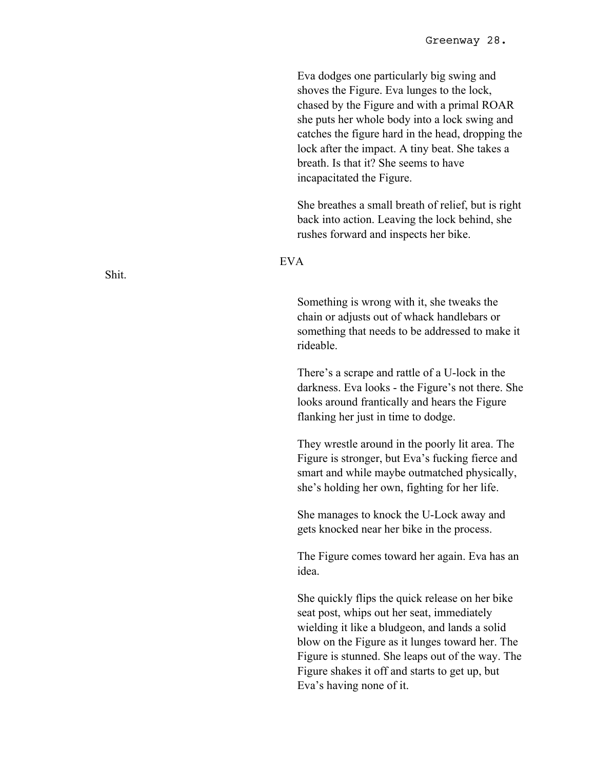Eva dodges one particularly big swing and shoves the Figure. Eva lunges to the lock, chased by the Figure and with a primal ROAR she puts her whole body into a lock swing and catches the figure hard in the head, dropping the lock after the impact. A tiny beat. She takes a breath. Is that it? She seems to have incapacitated the Figure.

She breathes a small breath of relief, but is right back into action. Leaving the lock behind, she rushes forward and inspects her bike.

# EVA

Something is wrong with it, she tweaks the chain or adjusts out of whack handlebars or something that needs to be addressed to make it rideable.

There's a scrape and rattle of a U-lock in the darkness. Eva looks - the Figure's not there. She looks around frantically and hears the Figure flanking her just in time to dodge.

They wrestle around in the poorly lit area. The Figure is stronger, but Eva's fucking fierce and smart and while maybe outmatched physically, she's holding her own, fighting for her life.

She manages to knock the U-Lock away and gets knocked near her bike in the process.

The Figure comes toward her again. Eva has an idea.

She quickly flips the quick release on her bike seat post, whips out her seat, immediately wielding it like a bludgeon, and lands a solid blow on the Figure as it lunges toward her. The Figure is stunned. She leaps out of the way. The Figure shakes it off and starts to get up, but Eva's having none of it.

Shit.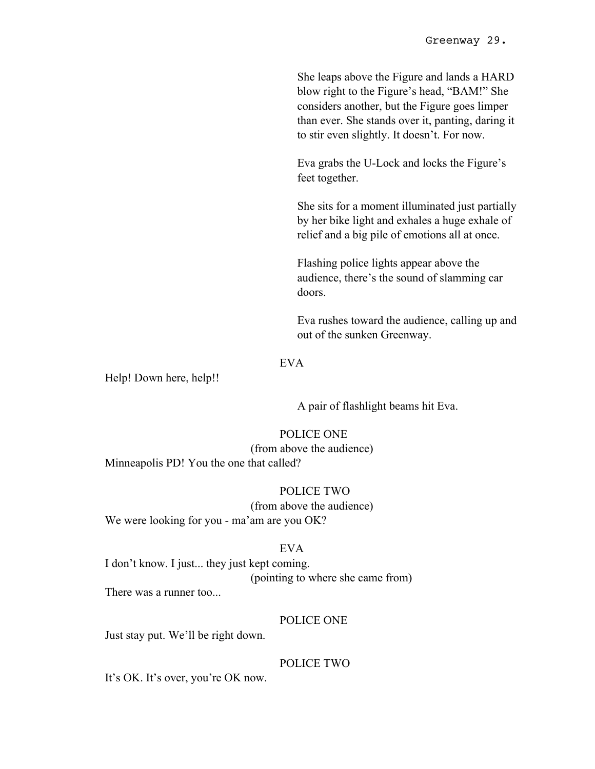She leaps above the Figure and lands a HARD blow right to the Figure's head, "BAM!" She considers another, but the Figure goes limper than ever. She stands over it, panting, daring it to stir even slightly. It doesn't. For now.

Eva grabs the U-Lock and locks the Figure's feet together.

She sits for a moment illuminated just partially by her bike light and exhales a huge exhale of relief and a big pile of emotions all at once.

Flashing police lights appear above the audience, there's the sound of slamming car doors.

Eva rushes toward the audience, calling up and out of the sunken Greenway.

# EVA

Help! Down here, help!!

A pair of flashlight beams hit Eva.

POLICE ONE (from above the audience) Minneapolis PD! You the one that called?

POLICE TWO (from above the audience) We were looking for you - ma'am are you OK?

## EVA

I don't know. I just... they just kept coming. (pointing to where she came from) There was a runner too...

## POLICE ONE

Just stay put. We'll be right down.

# POLICE TWO

It's OK. It's over, you're OK now.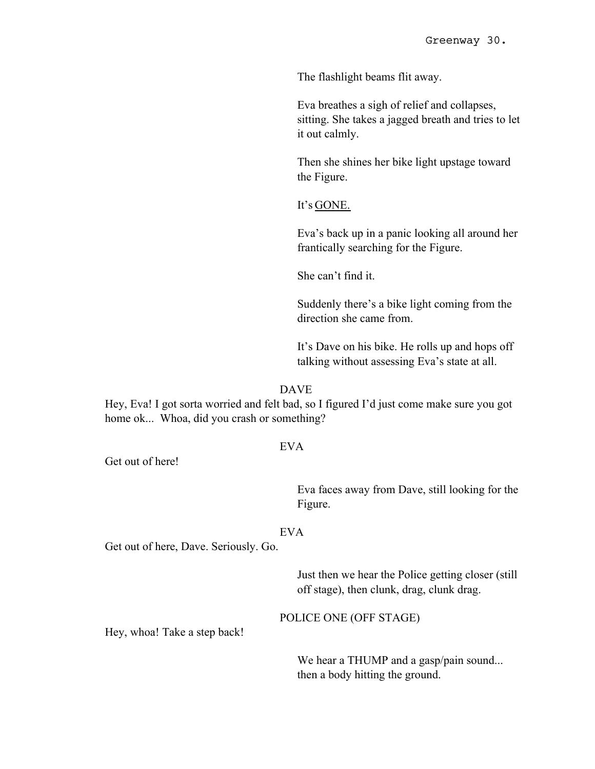The flashlight beams flit away.

Eva breathes a sigh of relief and collapses, sitting. She takes a jagged breath and tries to let it out calmly.

Then she shines her bike light upstage toward the Figure.

It's GONE.

Eva's back up in a panic looking all around her frantically searching for the Figure.

She can't find it.

Suddenly there's a bike light coming from the direction she came from.

It's Dave on his bike. He rolls up and hops off talking without assessing Eva's state at all.

## DAVE

Hey, Eva! I got sorta worried and felt bad, so I figured I'd just come make sure you got home ok... Whoa, did you crash or something?

#### EVA

Get out of here!

Eva faces away from Dave, still looking for the Figure.

## EVA

Get out of here, Dave. Seriously. Go.

Just then we hear the Police getting closer (still off stage), then clunk, drag, clunk drag.

POLICE ONE (OFF STAGE)

Hey, whoa! Take a step back!

We hear a THUMP and a gasp/pain sound... then a body hitting the ground.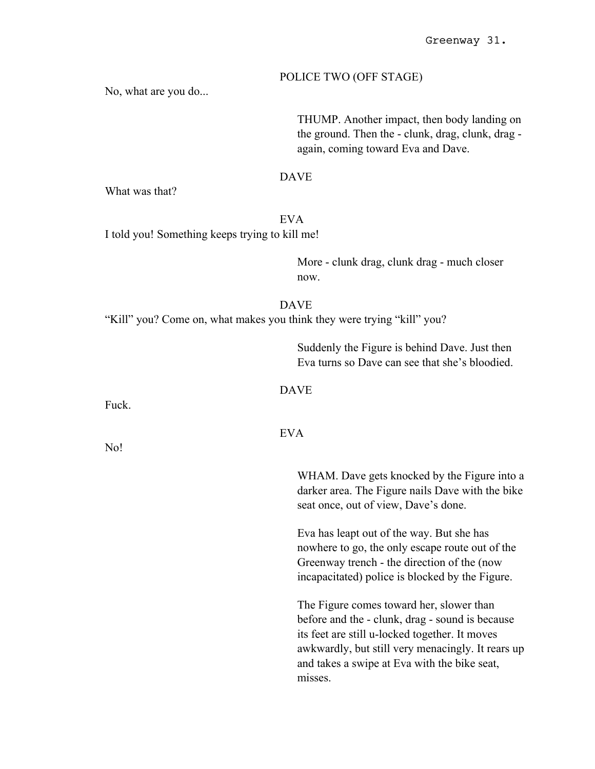# POLICE TWO (OFF STAGE)

No, what are you do...

THUMP. Another impact, then body landing on the ground. Then the - clunk, drag, clunk, drag again, coming toward Eva and Dave.

#### DAVE

What was that?

EVA

I told you! Something keeps trying to kill me!

More - clunk drag, clunk drag - much closer now.

# DAVE

"Kill" you? Come on, what makes you think they were trying "kill" you?

Suddenly the Figure is behind Dave. Just then Eva turns so Dave can see that she's bloodied.

# DAVE

Fuck.

No!

#### EVA

WHAM. Dave gets knocked by the Figure into a darker area. The Figure nails Dave with the bike seat once, out of view, Dave's done.

Eva has leapt out of the way. But she has nowhere to go, the only escape route out of the Greenway trench - the direction of the (now incapacitated) police is blocked by the Figure.

The Figure comes toward her, slower than before and the - clunk, drag - sound is because its feet are still u-locked together. It moves awkwardly, but still very menacingly. It rears up and takes a swipe at Eva with the bike seat, misses.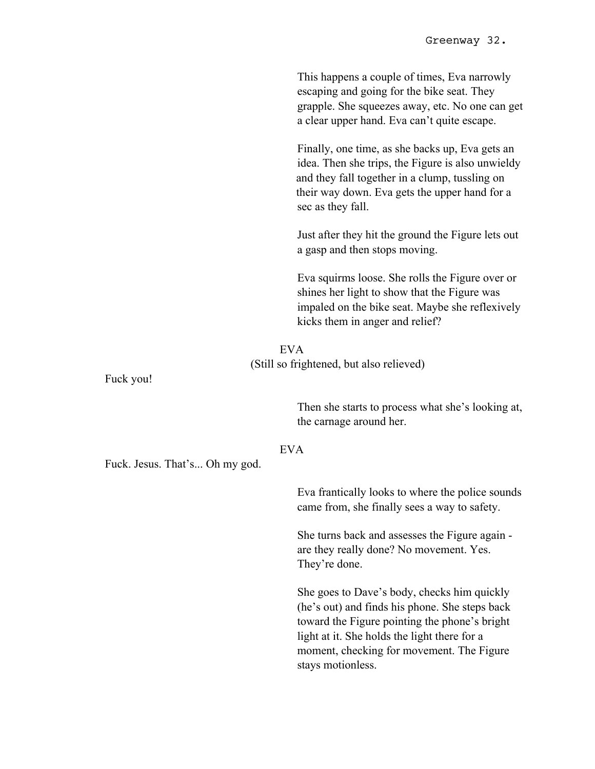|                                | This happens a couple of times, Eva narrowly<br>escaping and going for the bike seat. They<br>grapple. She squeezes away, etc. No one can get<br>a clear upper hand. Eva can't quite escape.                                                                     |
|--------------------------------|------------------------------------------------------------------------------------------------------------------------------------------------------------------------------------------------------------------------------------------------------------------|
|                                | Finally, one time, as she backs up, Eva gets an<br>idea. Then she trips, the Figure is also unwieldy<br>and they fall together in a clump, tussling on<br>their way down. Eva gets the upper hand for a<br>sec as they fall.                                     |
|                                | Just after they hit the ground the Figure lets out<br>a gasp and then stops moving.                                                                                                                                                                              |
|                                | Eva squirms loose. She rolls the Figure over or<br>shines her light to show that the Figure was<br>impaled on the bike seat. Maybe she reflexively<br>kicks them in anger and relief?                                                                            |
|                                | <b>EVA</b>                                                                                                                                                                                                                                                       |
|                                | (Still so frightened, but also relieved)                                                                                                                                                                                                                         |
| Fuck you!                      |                                                                                                                                                                                                                                                                  |
|                                | Then she starts to process what she's looking at,<br>the carnage around her.                                                                                                                                                                                     |
|                                | <b>EVA</b>                                                                                                                                                                                                                                                       |
| Fuck. Jesus. That's Oh my god. |                                                                                                                                                                                                                                                                  |
|                                | Eva frantically looks to where the police sounds<br>came from, she finally sees a way to safety.                                                                                                                                                                 |
|                                | She turns back and assesses the Figure again -<br>are they really done? No movement. Yes.<br>They're done.                                                                                                                                                       |
|                                | She goes to Dave's body, checks him quickly<br>(he's out) and finds his phone. She steps back<br>toward the Figure pointing the phone's bright<br>light at it. She holds the light there for a<br>moment, checking for movement. The Figure<br>stays motionless. |